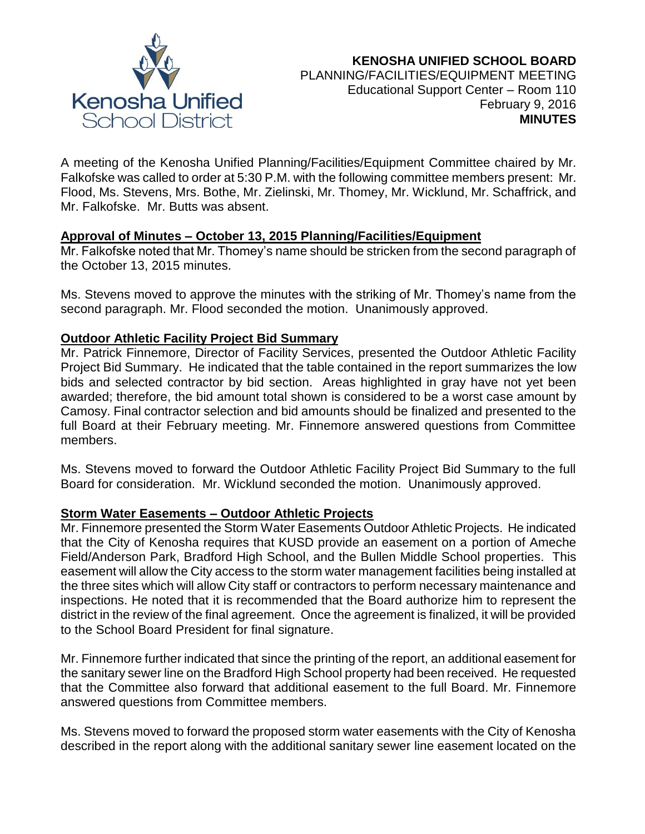

# **KENOSHA UNIFIED SCHOOL BOARD** PLANNING/FACILITIES/EQUIPMENT MEETING Educational Support Center – Room 110 February 9, 2016 **MINUTES**

A meeting of the Kenosha Unified Planning/Facilities/Equipment Committee chaired by Mr. Falkofske was called to order at 5:30 P.M. with the following committee members present: Mr. Flood, Ms. Stevens, Mrs. Bothe, Mr. Zielinski, Mr. Thomey, Mr. Wicklund, Mr. Schaffrick, and Mr. Falkofske. Mr. Butts was absent.

## **Approval of Minutes – October 13, 2015 Planning/Facilities/Equipment**

Mr. Falkofske noted that Mr. Thomey's name should be stricken from the second paragraph of the October 13, 2015 minutes.

Ms. Stevens moved to approve the minutes with the striking of Mr. Thomey's name from the second paragraph. Mr. Flood seconded the motion. Unanimously approved.

## **Outdoor Athletic Facility Project Bid Summary**

Mr. Patrick Finnemore, Director of Facility Services, presented the Outdoor Athletic Facility Project Bid Summary. He indicated that the table contained in the report summarizes the low bids and selected contractor by bid section. Areas highlighted in gray have not yet been awarded; therefore, the bid amount total shown is considered to be a worst case amount by Camosy. Final contractor selection and bid amounts should be finalized and presented to the full Board at their February meeting. Mr. Finnemore answered questions from Committee members.

Ms. Stevens moved to forward the Outdoor Athletic Facility Project Bid Summary to the full Board for consideration. Mr. Wicklund seconded the motion. Unanimously approved.

## **Storm Water Easements – Outdoor Athletic Projects**

Mr. Finnemore presented the Storm Water Easements Outdoor Athletic Projects. He indicated that the City of Kenosha requires that KUSD provide an easement on a portion of Ameche Field/Anderson Park, Bradford High School, and the Bullen Middle School properties. This easement will allow the City access to the storm water management facilities being installed at the three sites which will allow City staff or contractors to perform necessary maintenance and inspections. He noted that it is recommended that the Board authorize him to represent the district in the review of the final agreement. Once the agreement is finalized, it will be provided to the School Board President for final signature.

Mr. Finnemore further indicated that since the printing of the report, an additional easement for the sanitary sewer line on the Bradford High School property had been received. He requested that the Committee also forward that additional easement to the full Board. Mr. Finnemore answered questions from Committee members.

Ms. Stevens moved to forward the proposed storm water easements with the City of Kenosha described in the report along with the additional sanitary sewer line easement located on the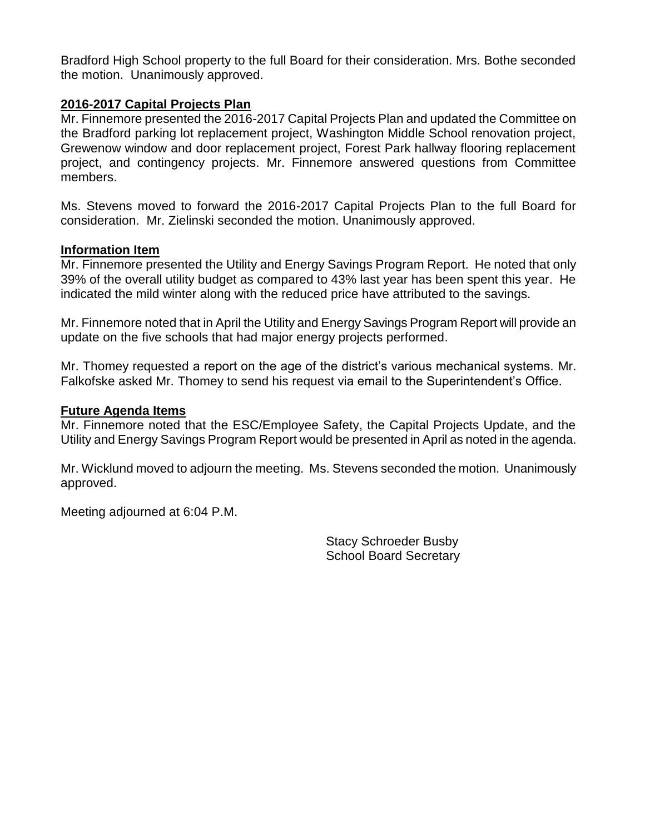Bradford High School property to the full Board for their consideration. Mrs. Bothe seconded the motion. Unanimously approved.

## **2016-2017 Capital Projects Plan**

Mr. Finnemore presented the 2016-2017 Capital Projects Plan and updated the Committee on the Bradford parking lot replacement project, Washington Middle School renovation project, Grewenow window and door replacement project, Forest Park hallway flooring replacement project, and contingency projects. Mr. Finnemore answered questions from Committee members.

Ms. Stevens moved to forward the 2016-2017 Capital Projects Plan to the full Board for consideration. Mr. Zielinski seconded the motion. Unanimously approved.

#### **Information Item**

Mr. Finnemore presented the Utility and Energy Savings Program Report. He noted that only 39% of the overall utility budget as compared to 43% last year has been spent this year. He indicated the mild winter along with the reduced price have attributed to the savings.

Mr. Finnemore noted that in April the Utility and Energy Savings Program Report will provide an update on the five schools that had major energy projects performed.

Mr. Thomey requested a report on the age of the district's various mechanical systems. Mr. Falkofske asked Mr. Thomey to send his request via email to the Superintendent's Office.

### **Future Agenda Items**

Mr. Finnemore noted that the ESC/Employee Safety, the Capital Projects Update, and the Utility and Energy Savings Program Report would be presented in April as noted in the agenda.

Mr. Wicklund moved to adjourn the meeting. Ms. Stevens seconded the motion. Unanimously approved.

Meeting adjourned at 6:04 P.M.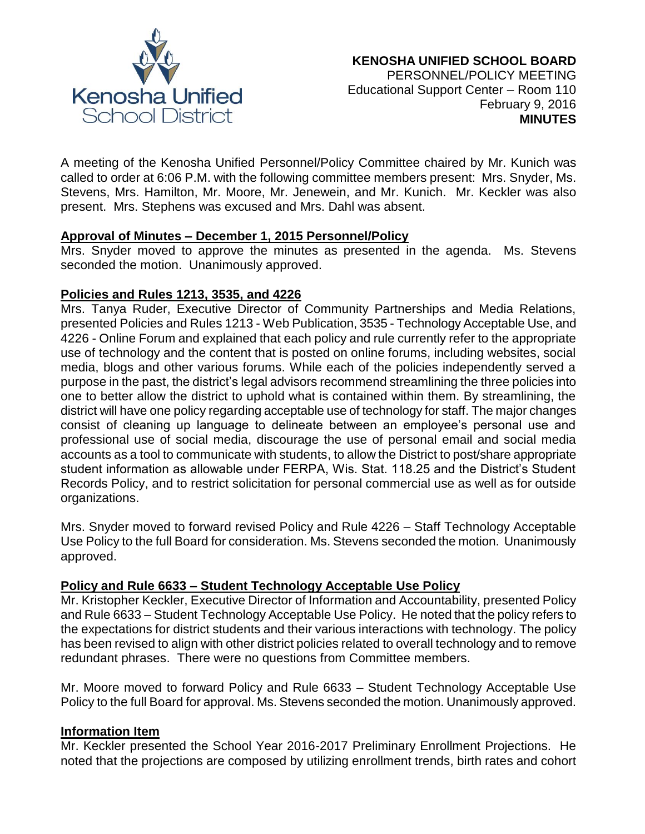

A meeting of the Kenosha Unified Personnel/Policy Committee chaired by Mr. Kunich was called to order at 6:06 P.M. with the following committee members present: Mrs. Snyder, Ms. Stevens, Mrs. Hamilton, Mr. Moore, Mr. Jenewein, and Mr. Kunich. Mr. Keckler was also present. Mrs. Stephens was excused and Mrs. Dahl was absent.

#### **Approval of Minutes – December 1, 2015 Personnel/Policy**

Mrs. Snyder moved to approve the minutes as presented in the agenda. Ms. Stevens seconded the motion. Unanimously approved.

#### **Policies and Rules 1213, 3535, and 4226**

Mrs. Tanya Ruder, Executive Director of Community Partnerships and Media Relations, presented Policies and Rules 1213 - Web Publication, 3535 - Technology Acceptable Use, and 4226 - Online Forum and explained that each policy and rule currently refer to the appropriate use of technology and the content that is posted on online forums, including websites, social media, blogs and other various forums. While each of the policies independently served a purpose in the past, the district's legal advisors recommend streamlining the three policies into one to better allow the district to uphold what is contained within them. By streamlining, the district will have one policy regarding acceptable use of technology for staff. The major changes consist of cleaning up language to delineate between an employee's personal use and professional use of social media, discourage the use of personal email and social media accounts as a tool to communicate with students, to allow the District to post/share appropriate student information as allowable under FERPA, Wis. Stat. 118.25 and the District's Student Records Policy, and to restrict solicitation for personal commercial use as well as for outside organizations.

Mrs. Snyder moved to forward revised Policy and Rule 4226 – Staff Technology Acceptable Use Policy to the full Board for consideration. Ms. Stevens seconded the motion. Unanimously approved.

## **Policy and Rule 6633 – Student Technology Acceptable Use Policy**

Mr. Kristopher Keckler, Executive Director of Information and Accountability, presented Policy and Rule 6633 – Student Technology Acceptable Use Policy. He noted that the policy refers to the expectations for district students and their various interactions with technology. The policy has been revised to align with other district policies related to overall technology and to remove redundant phrases. There were no questions from Committee members.

Mr. Moore moved to forward Policy and Rule 6633 – Student Technology Acceptable Use Policy to the full Board for approval. Ms. Stevens seconded the motion. Unanimously approved.

#### **Information Item**

Mr. Keckler presented the School Year 2016-2017 Preliminary Enrollment Projections. He noted that the projections are composed by utilizing enrollment trends, birth rates and cohort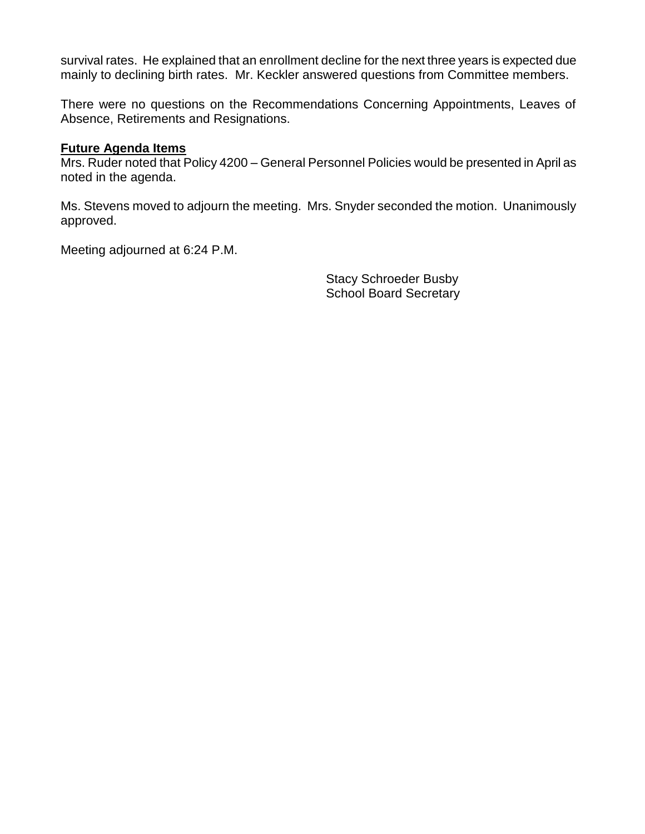survival rates. He explained that an enrollment decline for the next three years is expected due mainly to declining birth rates. Mr. Keckler answered questions from Committee members.

There were no questions on the Recommendations Concerning Appointments, Leaves of Absence, Retirements and Resignations.

### **Future Agenda Items**

Mrs. Ruder noted that Policy 4200 – General Personnel Policies would be presented in April as noted in the agenda.

Ms. Stevens moved to adjourn the meeting. Mrs. Snyder seconded the motion. Unanimously approved.

Meeting adjourned at 6:24 P.M.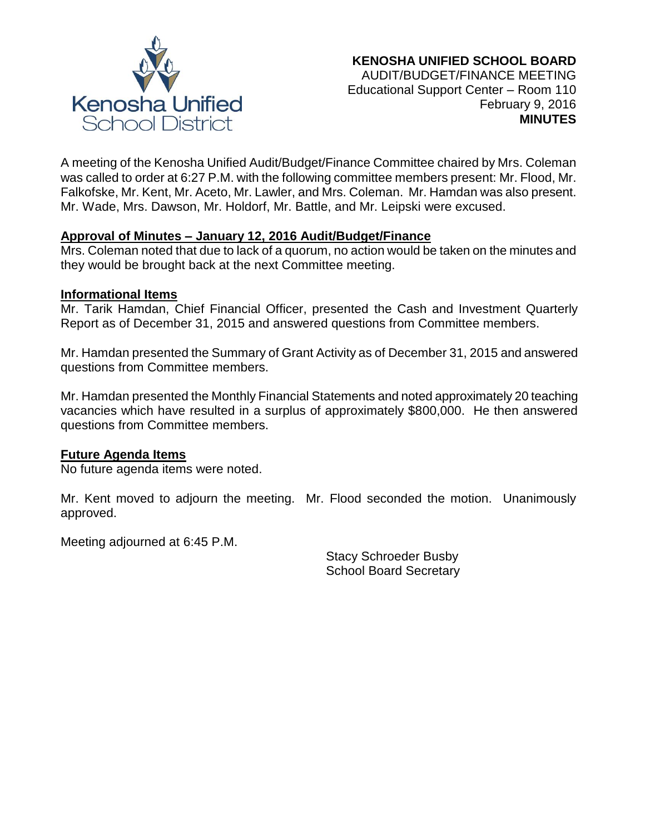

A meeting of the Kenosha Unified Audit/Budget/Finance Committee chaired by Mrs. Coleman was called to order at 6:27 P.M. with the following committee members present: Mr. Flood, Mr. Falkofske, Mr. Kent, Mr. Aceto, Mr. Lawler, and Mrs. Coleman. Mr. Hamdan was also present. Mr. Wade, Mrs. Dawson, Mr. Holdorf, Mr. Battle, and Mr. Leipski were excused.

## **Approval of Minutes – January 12, 2016 Audit/Budget/Finance**

Mrs. Coleman noted that due to lack of a quorum, no action would be taken on the minutes and they would be brought back at the next Committee meeting.

#### **Informational Items**

Mr. Tarik Hamdan, Chief Financial Officer, presented the Cash and Investment Quarterly Report as of December 31, 2015 and answered questions from Committee members.

Mr. Hamdan presented the Summary of Grant Activity as of December 31, 2015 and answered questions from Committee members.

Mr. Hamdan presented the Monthly Financial Statements and noted approximately 20 teaching vacancies which have resulted in a surplus of approximately \$800,000. He then answered questions from Committee members.

## **Future Agenda Items**

No future agenda items were noted.

Mr. Kent moved to adjourn the meeting. Mr. Flood seconded the motion. Unanimously approved.

Meeting adjourned at 6:45 P.M.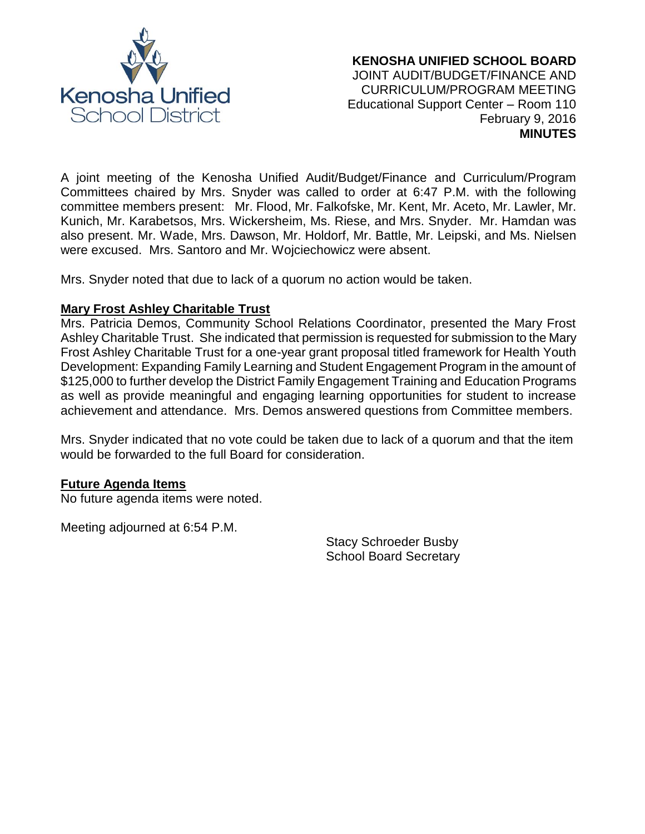

A joint meeting of the Kenosha Unified Audit/Budget/Finance and Curriculum/Program Committees chaired by Mrs. Snyder was called to order at 6:47 P.M. with the following committee members present: Mr. Flood, Mr. Falkofske, Mr. Kent, Mr. Aceto, Mr. Lawler, Mr. Kunich, Mr. Karabetsos, Mrs. Wickersheim, Ms. Riese, and Mrs. Snyder. Mr. Hamdan was also present. Mr. Wade, Mrs. Dawson, Mr. Holdorf, Mr. Battle, Mr. Leipski, and Ms. Nielsen were excused. Mrs. Santoro and Mr. Wojciechowicz were absent.

Mrs. Snyder noted that due to lack of a quorum no action would be taken.

## **Mary Frost Ashley Charitable Trust**

Mrs. Patricia Demos, Community School Relations Coordinator, presented the Mary Frost Ashley Charitable Trust. She indicated that permission is requested for submission to the Mary Frost Ashley Charitable Trust for a one-year grant proposal titled framework for Health Youth Development: Expanding Family Learning and Student Engagement Program in the amount of \$125,000 to further develop the District Family Engagement Training and Education Programs as well as provide meaningful and engaging learning opportunities for student to increase achievement and attendance. Mrs. Demos answered questions from Committee members.

Mrs. Snyder indicated that no vote could be taken due to lack of a quorum and that the item would be forwarded to the full Board for consideration.

## **Future Agenda Items**

No future agenda items were noted.

Meeting adjourned at 6:54 P.M.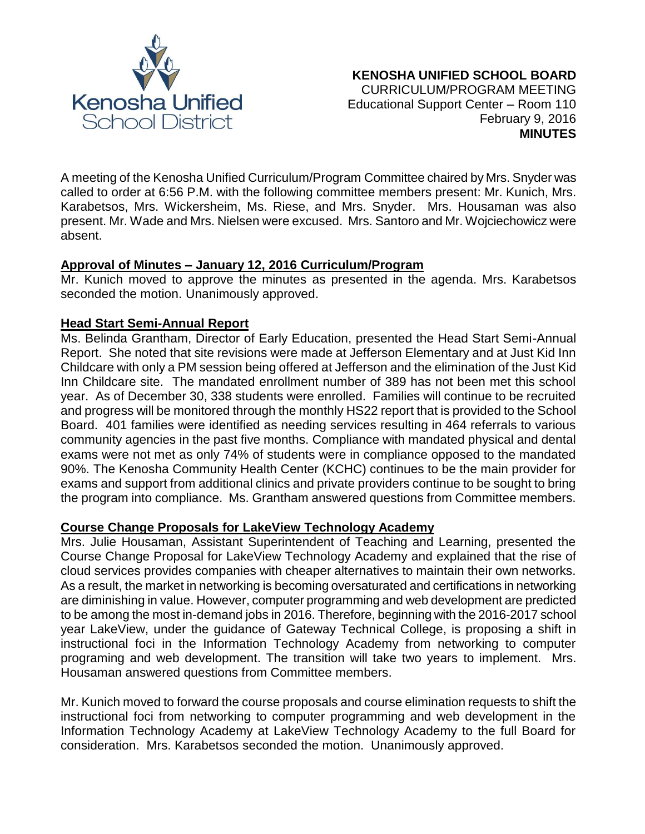

A meeting of the Kenosha Unified Curriculum/Program Committee chaired by Mrs. Snyder was called to order at 6:56 P.M. with the following committee members present: Mr. Kunich, Mrs. Karabetsos, Mrs. Wickersheim, Ms. Riese, and Mrs. Snyder. Mrs. Housaman was also present. Mr. Wade and Mrs. Nielsen were excused. Mrs. Santoro and Mr. Wojciechowicz were absent.

## **Approval of Minutes – January 12, 2016 Curriculum/Program**

Mr. Kunich moved to approve the minutes as presented in the agenda. Mrs. Karabetsos seconded the motion. Unanimously approved.

## **Head Start Semi-Annual Report**

Ms. Belinda Grantham, Director of Early Education, presented the Head Start Semi-Annual Report. She noted that site revisions were made at Jefferson Elementary and at Just Kid Inn Childcare with only a PM session being offered at Jefferson and the elimination of the Just Kid Inn Childcare site. The mandated enrollment number of 389 has not been met this school year. As of December 30, 338 students were enrolled. Families will continue to be recruited and progress will be monitored through the monthly HS22 report that is provided to the School Board. 401 families were identified as needing services resulting in 464 referrals to various community agencies in the past five months. Compliance with mandated physical and dental exams were not met as only 74% of students were in compliance opposed to the mandated 90%. The Kenosha Community Health Center (KCHC) continues to be the main provider for exams and support from additional clinics and private providers continue to be sought to bring the program into compliance. Ms. Grantham answered questions from Committee members.

## **Course Change Proposals for LakeView Technology Academy**

Mrs. Julie Housaman, Assistant Superintendent of Teaching and Learning, presented the Course Change Proposal for LakeView Technology Academy and explained that the rise of cloud services provides companies with cheaper alternatives to maintain their own networks. As a result, the market in networking is becoming oversaturated and certifications in networking are diminishing in value. However, computer programming and web development are predicted to be among the most in-demand jobs in 2016. Therefore, beginning with the 2016-2017 school year LakeView, under the guidance of Gateway Technical College, is proposing a shift in instructional foci in the Information Technology Academy from networking to computer programing and web development. The transition will take two years to implement. Mrs. Housaman answered questions from Committee members.

Mr. Kunich moved to forward the course proposals and course elimination requests to shift the instructional foci from networking to computer programming and web development in the Information Technology Academy at LakeView Technology Academy to the full Board for consideration. Mrs. Karabetsos seconded the motion. Unanimously approved.